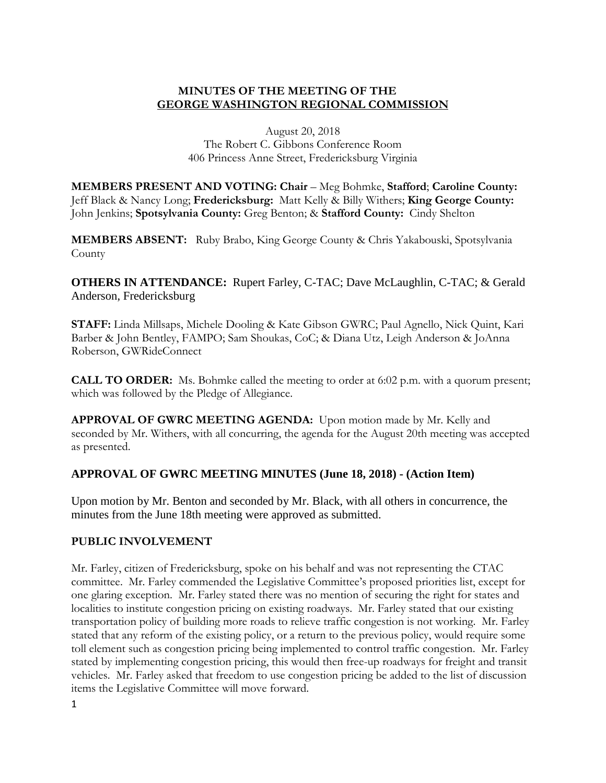## **MINUTES OF THE MEETING OF THE GEORGE WASHINGTON REGIONAL COMMISSION**

August 20, 2018 The Robert C. Gibbons Conference Room 406 Princess Anne Street, Fredericksburg Virginia

**MEMBERS PRESENT AND VOTING: Chair** – Meg Bohmke, **Stafford**; **Caroline County:**  Jeff Black & Nancy Long; **Fredericksburg:** Matt Kelly & Billy Withers; **King George County:**  John Jenkins; **Spotsylvania County:** Greg Benton; & **Stafford County:** Cindy Shelton

**MEMBERS ABSENT:** Ruby Brabo, King George County & Chris Yakabouski, Spotsylvania County

**OTHERS IN ATTENDANCE:** Rupert Farley, C-TAC; Dave McLaughlin, C-TAC; & Gerald Anderson, Fredericksburg

**STAFF:** Linda Millsaps, Michele Dooling & Kate Gibson GWRC; Paul Agnello, Nick Quint, Kari Barber & John Bentley, FAMPO; Sam Shoukas, CoC; & Diana Utz, Leigh Anderson & JoAnna Roberson, GWRideConnect

**CALL TO ORDER:** Ms. Bohmke called the meeting to order at 6:02 p.m. with a quorum present; which was followed by the Pledge of Allegiance.

**APPROVAL OF GWRC MEETING AGENDA:** Upon motion made by Mr. Kelly and seconded by Mr. Withers, with all concurring, the agenda for the August 20th meeting was accepted as presented.

# **APPROVAL OF GWRC MEETING MINUTES (June 18, 2018) - (Action Item)**

Upon motion by Mr. Benton and seconded by Mr. Black, with all others in concurrence, the minutes from the June 18th meeting were approved as submitted.

### **PUBLIC INVOLVEMENT**

Mr. Farley, citizen of Fredericksburg, spoke on his behalf and was not representing the CTAC committee. Mr. Farley commended the Legislative Committee's proposed priorities list, except for one glaring exception. Mr. Farley stated there was no mention of securing the right for states and localities to institute congestion pricing on existing roadways. Mr. Farley stated that our existing transportation policy of building more roads to relieve traffic congestion is not working. Mr. Farley stated that any reform of the existing policy, or a return to the previous policy, would require some toll element such as congestion pricing being implemented to control traffic congestion. Mr. Farley stated by implementing congestion pricing, this would then free-up roadways for freight and transit vehicles. Mr. Farley asked that freedom to use congestion pricing be added to the list of discussion items the Legislative Committee will move forward.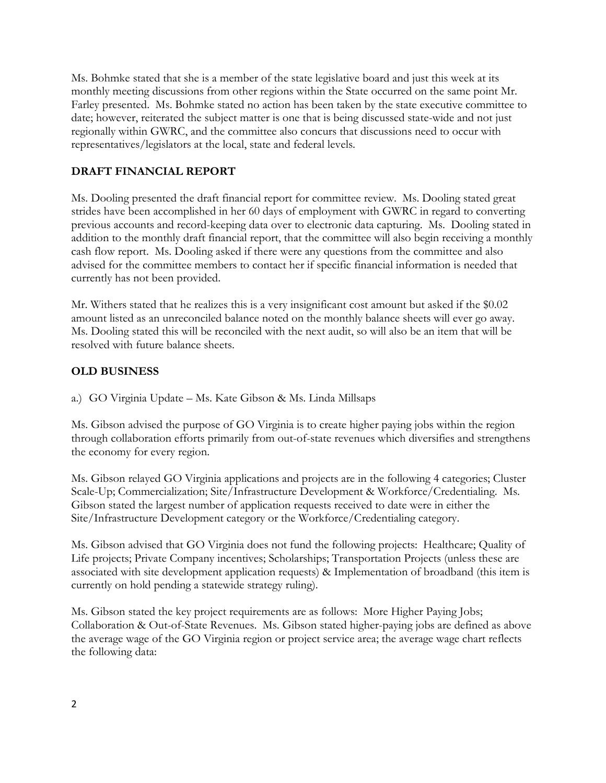Ms. Bohmke stated that she is a member of the state legislative board and just this week at its monthly meeting discussions from other regions within the State occurred on the same point Mr. Farley presented. Ms. Bohmke stated no action has been taken by the state executive committee to date; however, reiterated the subject matter is one that is being discussed state-wide and not just regionally within GWRC, and the committee also concurs that discussions need to occur with representatives/legislators at the local, state and federal levels.

# **DRAFT FINANCIAL REPORT**

Ms. Dooling presented the draft financial report for committee review. Ms. Dooling stated great strides have been accomplished in her 60 days of employment with GWRC in regard to converting previous accounts and record-keeping data over to electronic data capturing. Ms. Dooling stated in addition to the monthly draft financial report, that the committee will also begin receiving a monthly cash flow report. Ms. Dooling asked if there were any questions from the committee and also advised for the committee members to contact her if specific financial information is needed that currently has not been provided.

Mr. Withers stated that he realizes this is a very insignificant cost amount but asked if the \$0.02 amount listed as an unreconciled balance noted on the monthly balance sheets will ever go away. Ms. Dooling stated this will be reconciled with the next audit, so will also be an item that will be resolved with future balance sheets.

## **OLD BUSINESS**

a.) GO Virginia Update – Ms. Kate Gibson & Ms. Linda Millsaps

Ms. Gibson advised the purpose of GO Virginia is to create higher paying jobs within the region through collaboration efforts primarily from out-of-state revenues which diversifies and strengthens the economy for every region.

Ms. Gibson relayed GO Virginia applications and projects are in the following 4 categories; Cluster Scale-Up; Commercialization; Site/Infrastructure Development & Workforce/Credentialing. Ms. Gibson stated the largest number of application requests received to date were in either the Site/Infrastructure Development category or the Workforce/Credentialing category.

Ms. Gibson advised that GO Virginia does not fund the following projects: Healthcare; Quality of Life projects; Private Company incentives; Scholarships; Transportation Projects (unless these are associated with site development application requests) & Implementation of broadband (this item is currently on hold pending a statewide strategy ruling).

Ms. Gibson stated the key project requirements are as follows: More Higher Paying Jobs; Collaboration & Out-of-State Revenues. Ms. Gibson stated higher-paying jobs are defined as above the average wage of the GO Virginia region or project service area; the average wage chart reflects the following data: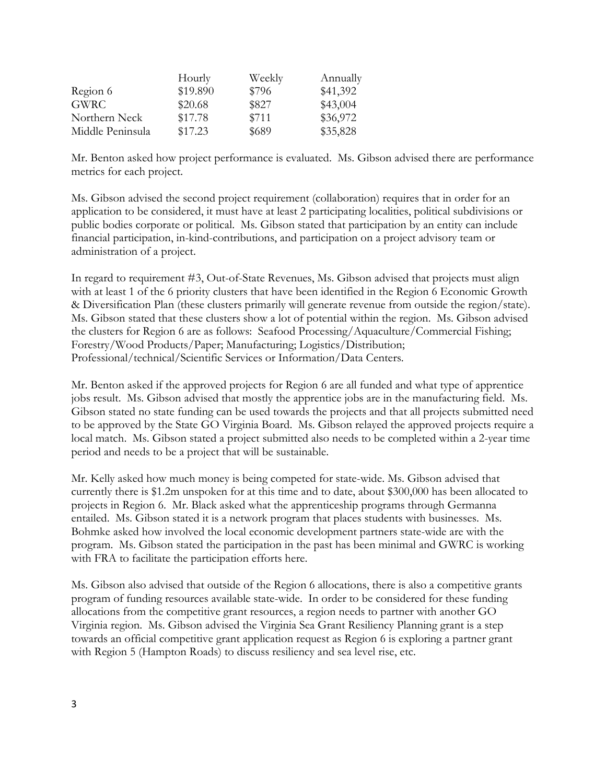|                  | Hourly   | Weekly | Annually |
|------------------|----------|--------|----------|
| Region 6         | \$19.890 | \$796  | \$41,392 |
| GWRC -           | \$20.68  | \$827  | \$43,004 |
| Northern Neck    | \$17.78  | \$711  | \$36,972 |
| Middle Peninsula | \$17.23  | \$689  | \$35,828 |

Mr. Benton asked how project performance is evaluated. Ms. Gibson advised there are performance metrics for each project.

Ms. Gibson advised the second project requirement (collaboration) requires that in order for an application to be considered, it must have at least 2 participating localities, political subdivisions or public bodies corporate or political. Ms. Gibson stated that participation by an entity can include financial participation, in-kind-contributions, and participation on a project advisory team or administration of a project.

In regard to requirement #3, Out-of-State Revenues, Ms. Gibson advised that projects must align with at least 1 of the 6 priority clusters that have been identified in the Region 6 Economic Growth & Diversification Plan (these clusters primarily will generate revenue from outside the region/state). Ms. Gibson stated that these clusters show a lot of potential within the region. Ms. Gibson advised the clusters for Region 6 are as follows: Seafood Processing/Aquaculture/Commercial Fishing; Forestry/Wood Products/Paper; Manufacturing; Logistics/Distribution; Professional/technical/Scientific Services or Information/Data Centers.

Mr. Benton asked if the approved projects for Region 6 are all funded and what type of apprentice jobs result. Ms. Gibson advised that mostly the apprentice jobs are in the manufacturing field. Ms. Gibson stated no state funding can be used towards the projects and that all projects submitted need to be approved by the State GO Virginia Board. Ms. Gibson relayed the approved projects require a local match. Ms. Gibson stated a project submitted also needs to be completed within a 2-year time period and needs to be a project that will be sustainable.

Mr. Kelly asked how much money is being competed for state-wide. Ms. Gibson advised that currently there is \$1.2m unspoken for at this time and to date, about \$300,000 has been allocated to projects in Region 6. Mr. Black asked what the apprenticeship programs through Germanna entailed. Ms. Gibson stated it is a network program that places students with businesses. Ms. Bohmke asked how involved the local economic development partners state-wide are with the program. Ms. Gibson stated the participation in the past has been minimal and GWRC is working with FRA to facilitate the participation efforts here.

Ms. Gibson also advised that outside of the Region 6 allocations, there is also a competitive grants program of funding resources available state-wide. In order to be considered for these funding allocations from the competitive grant resources, a region needs to partner with another GO Virginia region. Ms. Gibson advised the Virginia Sea Grant Resiliency Planning grant is a step towards an official competitive grant application request as Region 6 is exploring a partner grant with Region 5 (Hampton Roads) to discuss resiliency and sea level rise, etc.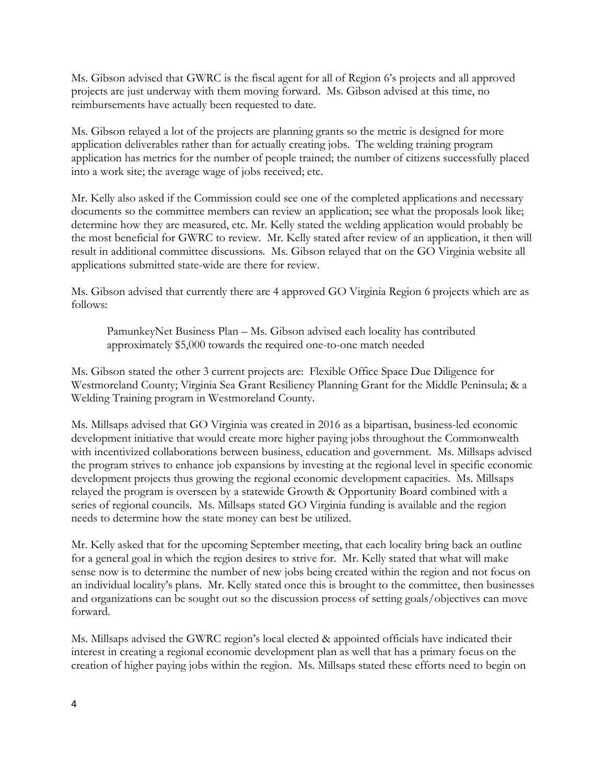Ms. Gibson advised that GWRC is the fiscal agent for all of Region 6's projects and all approved projects are just underway with them moving forward. Ms. Gibson advised at this time, no reimbursements have actually been requested to date.

Ms. Gibson relayed a lot of the projects are planning grants so the metric is designed for more application deliverables rather than for actually creating jobs. The welding training program application has metrics for the number of people trained; the number of citizens successfully placed into a work site; the average wage of jobs received; etc.

Mr. Kelly also asked if the Commission could see one of the completed applications and necessary documents so the committee members can review an application; see what the proposals look like; determine how they are measured, etc. Mr. Kelly stated the welding application would probably be the most beneficial for GWRC to review. Mr. Kelly stated after review of an application, it then will result in additional committee discussions. Ms. Gibson relayed that on the GO Virginia website all applications submitted state-wide are there for review.

Ms. Gibson advised that currently there are 4 approved GO Virginia Region 6 projects which are as follows:

PamunkeyNet Business Plan – Ms. Gibson advised each locality has contributed approximately \$5,000 towards the required one-to-one match needed

Ms. Gibson stated the other 3 current projects are: Flexible Office Space Due Diligence for Westmoreland County; Virginia Sea Grant Resiliency Planning Grant for the Middle Peninsula; & a Welding Training program in Westmoreland County.

Ms. Millsaps advised that GO Virginia was created in 2016 as a bipartisan, business-led economic development initiative that would create more higher paying jobs throughout the Commonwealth with incentivized collaborations between business, education and government. Ms. Millsaps advised the program strives to enhance job expansions by investing at the regional level in specific economic development projects thus growing the regional economic development capacities. Ms. Millsaps relayed the program is overseen by a statewide Growth & Opportunity Board combined with a series of regional councils. Ms. Millsaps stated GO Virginia funding is available and the region needs to determine how the state money can best be utilized.

Mr. Kelly asked that for the upcoming September meeting, that each locality bring back an outline for a general goal in which the region desires to strive for. Mr. Kelly stated that what will make sense now is to determine the number of new jobs being created within the region and not focus on an individual locality's plans. Mr. Kelly stated once this is brought to the committee, then businesses and organizations can be sought out so the discussion process of setting goals/objectives can move forward.

Ms. Millsaps advised the GWRC region's local elected & appointed officials have indicated their interest in creating a regional economic development plan as well that has a primary focus on the creation of higher paying jobs within the region. Ms. Millsaps stated these efforts need to begin on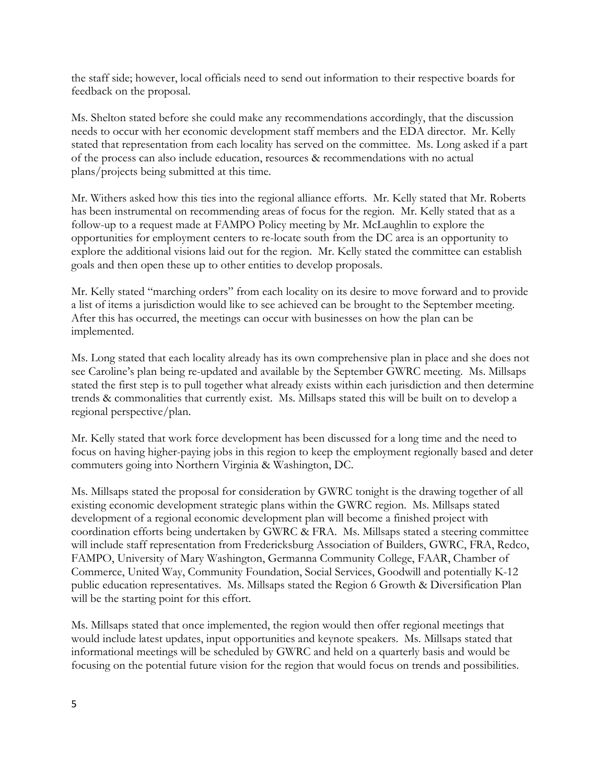the staff side; however, local officials need to send out information to their respective boards for feedback on the proposal.

Ms. Shelton stated before she could make any recommendations accordingly, that the discussion needs to occur with her economic development staff members and the EDA director. Mr. Kelly stated that representation from each locality has served on the committee. Ms. Long asked if a part of the process can also include education, resources & recommendations with no actual plans/projects being submitted at this time.

Mr. Withers asked how this ties into the regional alliance efforts. Mr. Kelly stated that Mr. Roberts has been instrumental on recommending areas of focus for the region. Mr. Kelly stated that as a follow-up to a request made at FAMPO Policy meeting by Mr. McLaughlin to explore the opportunities for employment centers to re-locate south from the DC area is an opportunity to explore the additional visions laid out for the region. Mr. Kelly stated the committee can establish goals and then open these up to other entities to develop proposals.

Mr. Kelly stated "marching orders" from each locality on its desire to move forward and to provide a list of items a jurisdiction would like to see achieved can be brought to the September meeting. After this has occurred, the meetings can occur with businesses on how the plan can be implemented.

Ms. Long stated that each locality already has its own comprehensive plan in place and she does not see Caroline's plan being re-updated and available by the September GWRC meeting. Ms. Millsaps stated the first step is to pull together what already exists within each jurisdiction and then determine trends & commonalities that currently exist. Ms. Millsaps stated this will be built on to develop a regional perspective/plan.

Mr. Kelly stated that work force development has been discussed for a long time and the need to focus on having higher-paying jobs in this region to keep the employment regionally based and deter commuters going into Northern Virginia & Washington, DC.

Ms. Millsaps stated the proposal for consideration by GWRC tonight is the drawing together of all existing economic development strategic plans within the GWRC region. Ms. Millsaps stated development of a regional economic development plan will become a finished project with coordination efforts being undertaken by GWRC & FRA. Ms. Millsaps stated a steering committee will include staff representation from Fredericksburg Association of Builders, GWRC, FRA, Redco, FAMPO, University of Mary Washington, Germanna Community College, FAAR, Chamber of Commerce, United Way, Community Foundation, Social Services, Goodwill and potentially K-12 public education representatives. Ms. Millsaps stated the Region 6 Growth & Diversification Plan will be the starting point for this effort.

Ms. Millsaps stated that once implemented, the region would then offer regional meetings that would include latest updates, input opportunities and keynote speakers. Ms. Millsaps stated that informational meetings will be scheduled by GWRC and held on a quarterly basis and would be focusing on the potential future vision for the region that would focus on trends and possibilities.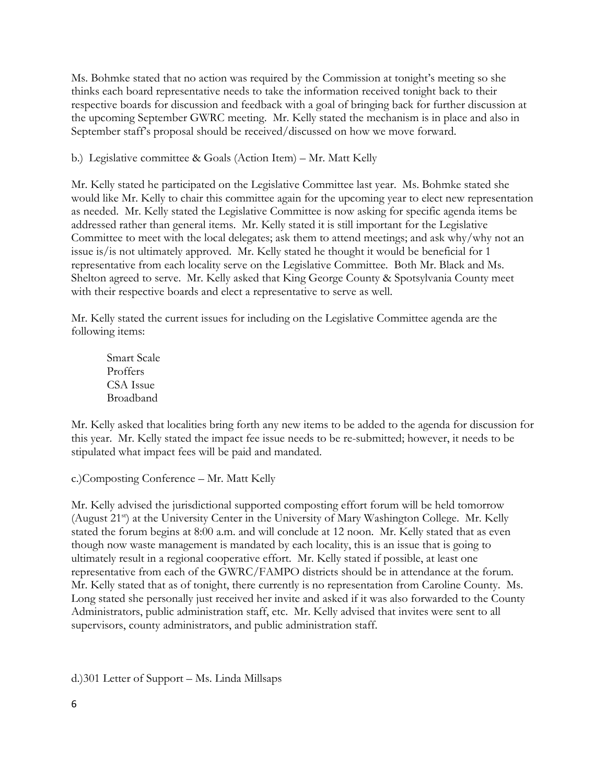Ms. Bohmke stated that no action was required by the Commission at tonight's meeting so she thinks each board representative needs to take the information received tonight back to their respective boards for discussion and feedback with a goal of bringing back for further discussion at the upcoming September GWRC meeting. Mr. Kelly stated the mechanism is in place and also in September staff's proposal should be received/discussed on how we move forward.

b.) Legislative committee & Goals (Action Item) – Mr. Matt Kelly

Mr. Kelly stated he participated on the Legislative Committee last year. Ms. Bohmke stated she would like Mr. Kelly to chair this committee again for the upcoming year to elect new representation as needed. Mr. Kelly stated the Legislative Committee is now asking for specific agenda items be addressed rather than general items. Mr. Kelly stated it is still important for the Legislative Committee to meet with the local delegates; ask them to attend meetings; and ask why/why not an issue is/is not ultimately approved. Mr. Kelly stated he thought it would be beneficial for 1 representative from each locality serve on the Legislative Committee. Both Mr. Black and Ms. Shelton agreed to serve. Mr. Kelly asked that King George County & Spotsylvania County meet with their respective boards and elect a representative to serve as well.

Mr. Kelly stated the current issues for including on the Legislative Committee agenda are the following items:

Smart Scale Proffers CSA Issue Broadband

Mr. Kelly asked that localities bring forth any new items to be added to the agenda for discussion for this year. Mr. Kelly stated the impact fee issue needs to be re-submitted; however, it needs to be stipulated what impact fees will be paid and mandated.

c.)Composting Conference – Mr. Matt Kelly

Mr. Kelly advised the jurisdictional supported composting effort forum will be held tomorrow (August 21<sup>st</sup>) at the University Center in the University of Mary Washington College. Mr. Kelly stated the forum begins at 8:00 a.m. and will conclude at 12 noon. Mr. Kelly stated that as even though now waste management is mandated by each locality, this is an issue that is going to ultimately result in a regional cooperative effort. Mr. Kelly stated if possible, at least one representative from each of the GWRC/FAMPO districts should be in attendance at the forum. Mr. Kelly stated that as of tonight, there currently is no representation from Caroline County. Ms. Long stated she personally just received her invite and asked if it was also forwarded to the County Administrators, public administration staff, etc. Mr. Kelly advised that invites were sent to all supervisors, county administrators, and public administration staff.

d.)301 Letter of Support – Ms. Linda Millsaps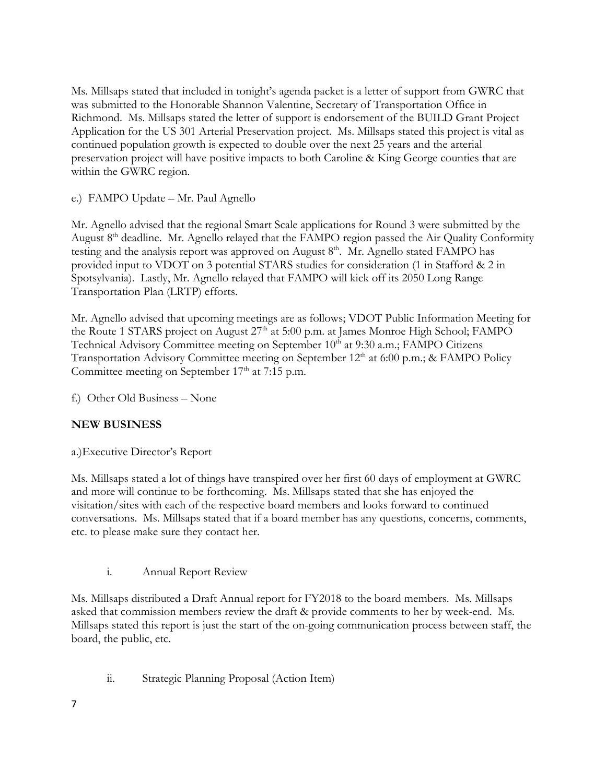Ms. Millsaps stated that included in tonight's agenda packet is a letter of support from GWRC that was submitted to the Honorable Shannon Valentine, Secretary of Transportation Office in Richmond. Ms. Millsaps stated the letter of support is endorsement of the BUILD Grant Project Application for the US 301 Arterial Preservation project. Ms. Millsaps stated this project is vital as continued population growth is expected to double over the next 25 years and the arterial preservation project will have positive impacts to both Caroline & King George counties that are within the GWRC region.

e.) FAMPO Update – Mr. Paul Agnello

Mr. Agnello advised that the regional Smart Scale applications for Round 3 were submitted by the August 8<sup>th</sup> deadline. Mr. Agnello relayed that the FAMPO region passed the Air Quality Conformity testing and the analysis report was approved on August  $8<sup>th</sup>$ . Mr. Agnello stated FAMPO has provided input to VDOT on 3 potential STARS studies for consideration (1 in Stafford & 2 in Spotsylvania). Lastly, Mr. Agnello relayed that FAMPO will kick off its 2050 Long Range Transportation Plan (LRTP) efforts.

Mr. Agnello advised that upcoming meetings are as follows; VDOT Public Information Meeting for the Route 1 STARS project on August 27<sup>th</sup> at 5:00 p.m. at James Monroe High School; FAMPO Technical Advisory Committee meeting on September 10<sup>th</sup> at 9:30 a.m.; FAMPO Citizens Transportation Advisory Committee meeting on September 12<sup>th</sup> at 6:00 p.m.; & FAMPO Policy Committee meeting on September  $17<sup>th</sup>$  at 7:15 p.m.

f.) Other Old Business – None

# **NEW BUSINESS**

a.)Executive Director's Report

Ms. Millsaps stated a lot of things have transpired over her first 60 days of employment at GWRC and more will continue to be forthcoming. Ms. Millsaps stated that she has enjoyed the visitation/sites with each of the respective board members and looks forward to continued conversations. Ms. Millsaps stated that if a board member has any questions, concerns, comments, etc. to please make sure they contact her.

i. Annual Report Review

Ms. Millsaps distributed a Draft Annual report for FY2018 to the board members. Ms. Millsaps asked that commission members review the draft & provide comments to her by week-end. Ms. Millsaps stated this report is just the start of the on-going communication process between staff, the board, the public, etc.

ii. Strategic Planning Proposal (Action Item)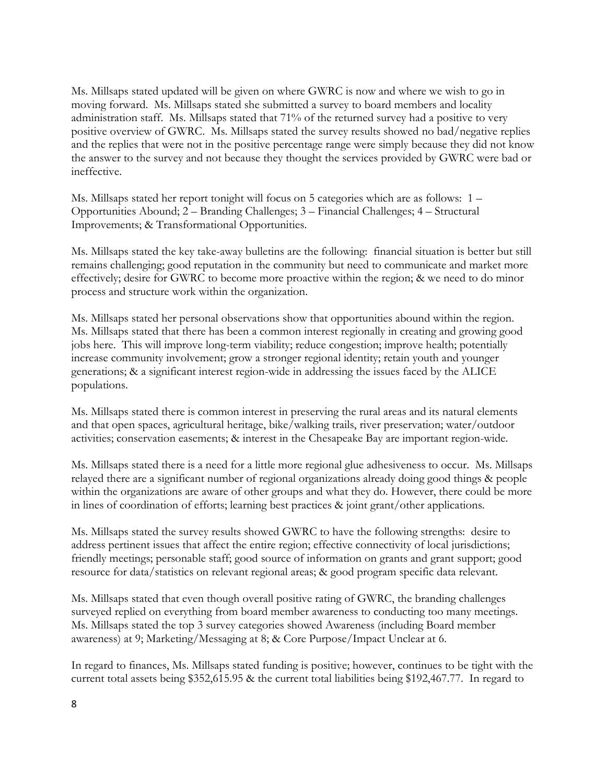Ms. Millsaps stated updated will be given on where GWRC is now and where we wish to go in moving forward. Ms. Millsaps stated she submitted a survey to board members and locality administration staff. Ms. Millsaps stated that 71% of the returned survey had a positive to very positive overview of GWRC. Ms. Millsaps stated the survey results showed no bad/negative replies and the replies that were not in the positive percentage range were simply because they did not know the answer to the survey and not because they thought the services provided by GWRC were bad or ineffective.

Ms. Millsaps stated her report tonight will focus on 5 categories which are as follows: 1 – Opportunities Abound; 2 – Branding Challenges; 3 – Financial Challenges; 4 – Structural Improvements; & Transformational Opportunities.

Ms. Millsaps stated the key take-away bulletins are the following: financial situation is better but still remains challenging; good reputation in the community but need to communicate and market more effectively; desire for GWRC to become more proactive within the region; & we need to do minor process and structure work within the organization.

Ms. Millsaps stated her personal observations show that opportunities abound within the region. Ms. Millsaps stated that there has been a common interest regionally in creating and growing good jobs here. This will improve long-term viability; reduce congestion; improve health; potentially increase community involvement; grow a stronger regional identity; retain youth and younger generations; & a significant interest region-wide in addressing the issues faced by the ALICE populations.

Ms. Millsaps stated there is common interest in preserving the rural areas and its natural elements and that open spaces, agricultural heritage, bike/walking trails, river preservation; water/outdoor activities; conservation easements; & interest in the Chesapeake Bay are important region-wide.

Ms. Millsaps stated there is a need for a little more regional glue adhesiveness to occur. Ms. Millsaps relayed there are a significant number of regional organizations already doing good things & people within the organizations are aware of other groups and what they do. However, there could be more in lines of coordination of efforts; learning best practices & joint grant/other applications.

Ms. Millsaps stated the survey results showed GWRC to have the following strengths: desire to address pertinent issues that affect the entire region; effective connectivity of local jurisdictions; friendly meetings; personable staff; good source of information on grants and grant support; good resource for data/statistics on relevant regional areas; & good program specific data relevant.

Ms. Millsaps stated that even though overall positive rating of GWRC, the branding challenges surveyed replied on everything from board member awareness to conducting too many meetings. Ms. Millsaps stated the top 3 survey categories showed Awareness (including Board member awareness) at 9; Marketing/Messaging at 8; & Core Purpose/Impact Unclear at 6.

In regard to finances, Ms. Millsaps stated funding is positive; however, continues to be tight with the current total assets being \$352,615.95 & the current total liabilities being \$192,467.77. In regard to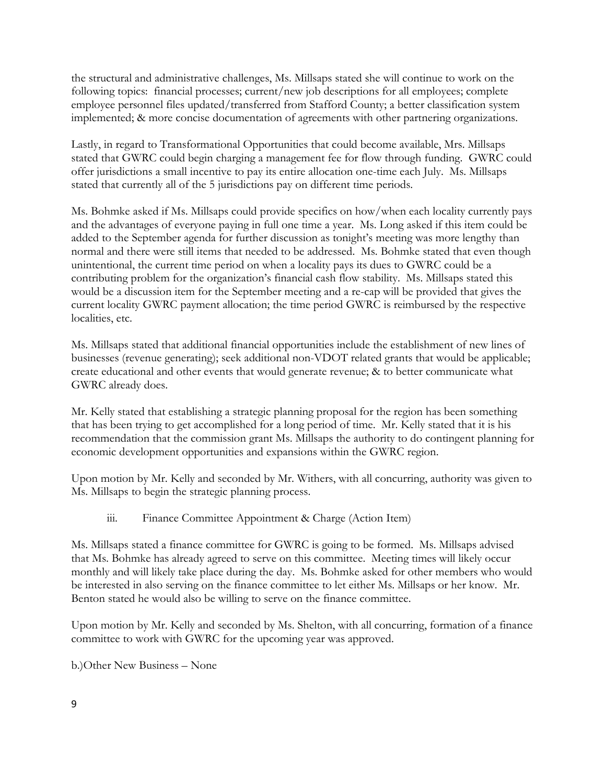the structural and administrative challenges, Ms. Millsaps stated she will continue to work on the following topics: financial processes; current/new job descriptions for all employees; complete employee personnel files updated/transferred from Stafford County; a better classification system implemented; & more concise documentation of agreements with other partnering organizations.

Lastly, in regard to Transformational Opportunities that could become available, Mrs. Millsaps stated that GWRC could begin charging a management fee for flow through funding. GWRC could offer jurisdictions a small incentive to pay its entire allocation one-time each July. Ms. Millsaps stated that currently all of the 5 jurisdictions pay on different time periods.

Ms. Bohmke asked if Ms. Millsaps could provide specifics on how/when each locality currently pays and the advantages of everyone paying in full one time a year. Ms. Long asked if this item could be added to the September agenda for further discussion as tonight's meeting was more lengthy than normal and there were still items that needed to be addressed. Ms. Bohmke stated that even though unintentional, the current time period on when a locality pays its dues to GWRC could be a contributing problem for the organization's financial cash flow stability. Ms. Millsaps stated this would be a discussion item for the September meeting and a re-cap will be provided that gives the current locality GWRC payment allocation; the time period GWRC is reimbursed by the respective localities, etc.

Ms. Millsaps stated that additional financial opportunities include the establishment of new lines of businesses (revenue generating); seek additional non-VDOT related grants that would be applicable; create educational and other events that would generate revenue; & to better communicate what GWRC already does.

Mr. Kelly stated that establishing a strategic planning proposal for the region has been something that has been trying to get accomplished for a long period of time. Mr. Kelly stated that it is his recommendation that the commission grant Ms. Millsaps the authority to do contingent planning for economic development opportunities and expansions within the GWRC region.

Upon motion by Mr. Kelly and seconded by Mr. Withers, with all concurring, authority was given to Ms. Millsaps to begin the strategic planning process.

iii. Finance Committee Appointment & Charge (Action Item)

Ms. Millsaps stated a finance committee for GWRC is going to be formed. Ms. Millsaps advised that Ms. Bohmke has already agreed to serve on this committee. Meeting times will likely occur monthly and will likely take place during the day. Ms. Bohmke asked for other members who would be interested in also serving on the finance committee to let either Ms. Millsaps or her know. Mr. Benton stated he would also be willing to serve on the finance committee.

Upon motion by Mr. Kelly and seconded by Ms. Shelton, with all concurring, formation of a finance committee to work with GWRC for the upcoming year was approved.

b.)Other New Business – None